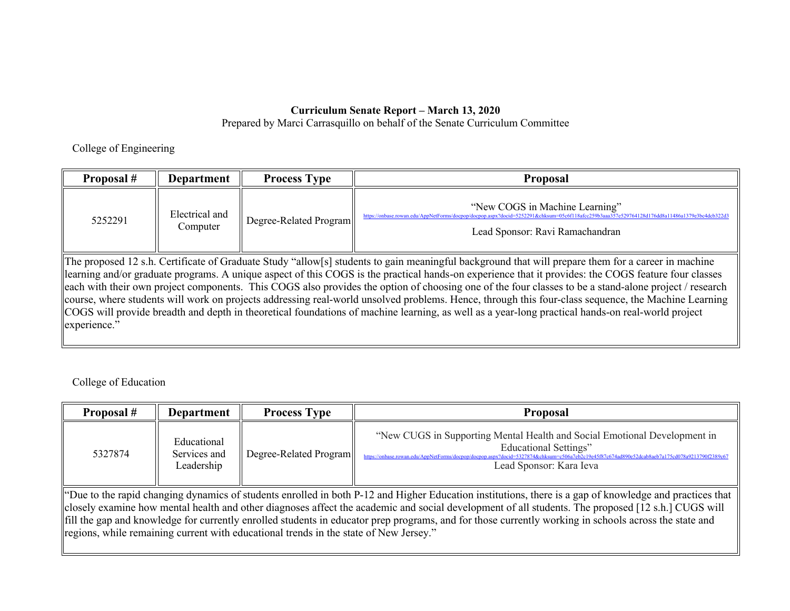## **Curriculum Senate Report – March 13, 2020**

Prepared by Marci Carrasquillo on behalf of the Senate Curriculum Committee

College of Engineering

| Proposal#                                                                                                                                          | Department                 | <b>Process Type</b>    | <b>Proposal</b>                                                                                                                                                                                                    |  |  |
|----------------------------------------------------------------------------------------------------------------------------------------------------|----------------------------|------------------------|--------------------------------------------------------------------------------------------------------------------------------------------------------------------------------------------------------------------|--|--|
| 5252291                                                                                                                                            | Electrical and<br>Computer | Degree-Related Program | "New COGS in Machine Learning"<br>https://onbase.rowan.edu/AppNetForms/docpop/docpop.aspx?docid=5252291&chksum=05c6f118afcc259b3aaa357e529764128d176dd8a11486a1379e3bc4dcb322d3<br>Lead Sponsor: Ravi Ramachandran |  |  |
| The proposed 12 s.h. Certificate of Graduate Study "allow[s] students to gain meaningful background that will prepare them for a career in machine |                            |                        |                                                                                                                                                                                                                    |  |  |

learning and/or graduate programs. A unique aspect of this COGS is the practical hands-on experience that it provides: the COGS feature four classes each with their own project components. This COGS also provides the option of choosing one of the four classes to be a stand-alone project / research course, where students will work on projects addressing real-world unsolved problems. Hence, through this four-class sequence, the Machine Learning COGS will provide breadth and depth in theoretical foundations of machine learning, as well as a year-long practical hands-on real-world project experience."

College of Education

| Proposal #                                                                                                                                                                                                                                                                                                                                                                                                                                                                                                                                                      | <b>Department</b>                         | <b>Process Type</b>    | <b>Proposal</b>                                                                                                                                                                                                                                                                        |  |  |
|-----------------------------------------------------------------------------------------------------------------------------------------------------------------------------------------------------------------------------------------------------------------------------------------------------------------------------------------------------------------------------------------------------------------------------------------------------------------------------------------------------------------------------------------------------------------|-------------------------------------------|------------------------|----------------------------------------------------------------------------------------------------------------------------------------------------------------------------------------------------------------------------------------------------------------------------------------|--|--|
| 5327874                                                                                                                                                                                                                                                                                                                                                                                                                                                                                                                                                         | Educational<br>Services and<br>Leadership | Degree-Related Program | "New CUGS in Supporting Mental Health and Social Emotional Development in<br><b>Educational Settings"</b><br>https://onbase.rowan.edu/AppNetForms/docpop/docpop.aspx?docid=532<br>74&chksum=c506a7eb2c19e45f87c674ad890e52dcab8aeb7a175cd078a9213790f2389c6<br>Lead Sponsor: Kara Ieva |  |  |
| "Due to the rapid changing dynamics of students enrolled in both P-12 and Higher Education institutions, there is a gap of knowledge and practices that<br>closely examine how mental health and other diagnoses affect the academic and social development of all students. The proposed [12 s.h.] CUGS will<br>fill the gap and knowledge for currently enrolled students in educator prep programs, and for those currently working in schools across the state and<br>regions, while remaining current with educational trends in the state of New Jersey." |                                           |                        |                                                                                                                                                                                                                                                                                        |  |  |